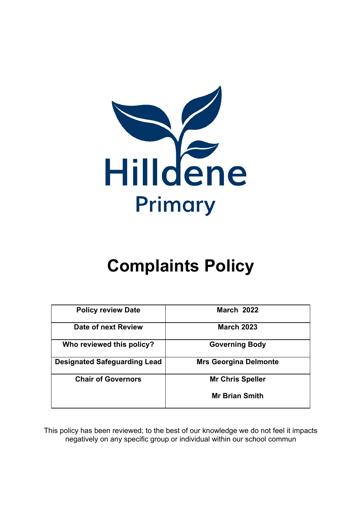

# **Complaints Policy**

| <b>Policy review Date</b>           | <b>March 2022</b>            |
|-------------------------------------|------------------------------|
| Date of next Review                 | <b>March 2023</b>            |
| Who reviewed this policy?           | <b>Governing Body</b>        |
| <b>Designated Safeguarding Lead</b> | <b>Mrs Georgina Delmonte</b> |
| <b>Chair of Governors</b>           | <b>Mr Chris Speller</b>      |
|                                     | <b>Mr Brian Smith</b>        |

This policy has been reviewed; to the best of our knowledge we do not feel it impacts negatively on any specific group or individual within our school commun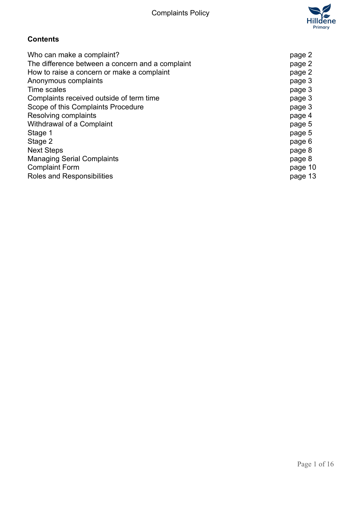

# **Contents**

| Who can make a complaint?                        | page 2  |
|--------------------------------------------------|---------|
| The difference between a concern and a complaint | page 2  |
| How to raise a concern or make a complaint       | page 2  |
| Anonymous complaints                             | page 3  |
| Time scales                                      | page 3  |
| Complaints received outside of term time         | page 3  |
| Scope of this Complaints Procedure               | page 3  |
| Resolving complaints                             | page 4  |
| Withdrawal of a Complaint                        | page 5  |
| Stage 1                                          | page 5  |
| Stage 2                                          | page 6  |
| <b>Next Steps</b>                                | page 8  |
| <b>Managing Serial Complaints</b>                | page 8  |
| <b>Complaint Form</b>                            | page 10 |
| Roles and Responsibilities                       | page 13 |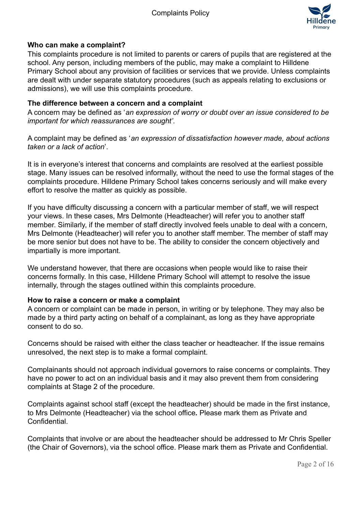

#### **Who can make a complaint?**

This complaints procedure is not limited to parents or carers of pupils that are registered at the school. Any person, including members of the public, may make a complaint to Hilldene Primary School about any provision of facilities or services that we provide. Unless complaints are dealt with under separate statutory procedures (such as appeals relating to exclusions or admissions), we will use this complaints procedure.

#### **The difference between a concern and a complaint**

A concern may be defined as '*an expression of worry or doubt over an issue considered to be important for which reassurances are sought'*.

A complaint may be defined as '*an expression of dissatisfaction however made, about actions taken or a lack of action*'.

It is in everyone's interest that concerns and complaints are resolved at the earliest possible stage. Many issues can be resolved informally, without the need to use the formal stages of the complaints procedure. Hilldene Primary School takes concerns seriously and will make every effort to resolve the matter as quickly as possible.

If you have difficulty discussing a concern with a particular member of staff, we will respect your views. In these cases, Mrs Delmonte (Headteacher) will refer you to another staff member. Similarly, if the member of staff directly involved feels unable to deal with a concern, Mrs Delmonte (Headteacher) will refer you to another staff member. The member of staff may be more senior but does not have to be. The ability to consider the concern objectively and impartially is more important.

We understand however, that there are occasions when people would like to raise their concerns formally. In this case, Hilldene Primary School will attempt to resolve the issue internally, through the stages outlined within this complaints procedure.

#### **How to raise a concern or make a complaint**

A concern or complaint can be made in person, in writing or by telephone. They may also be made by a third party acting on behalf of a complainant, as long as they have appropriate consent to do so.

Concerns should be raised with either the class teacher or headteacher. If the issue remains unresolved, the next step is to make a formal complaint.

Complainants should not approach individual governors to raise concerns or complaints. They have no power to act on an individual basis and it may also prevent them from considering complaints at Stage 2 of the procedure.

Complaints against school staff (except the headteacher) should be made in the first instance, to Mrs Delmonte (Headteacher) via the school office*.* Please mark them as Private and Confidential.

Complaints that involve or are about the headteacher should be addressed to Mr Chris Speller (the Chair of Governors), via the school office. Please mark them as Private and Confidential.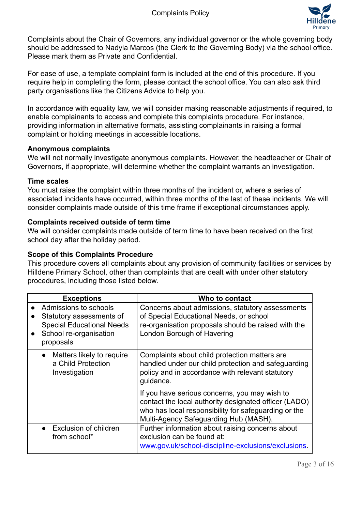

Complaints about the Chair of Governors, any individual governor or the whole governing body should be addressed to Nadyia Marcos (the Clerk to the Governing Body) via the school office. Please mark them as Private and Confidential.

For ease of use, a template complaint form is included at the end of this procedure. If you require help in completing the form, please contact the school office. You can also ask third party organisations like the Citizens Advice to help you.

In accordance with equality law, we will consider making reasonable adjustments if required, to enable complainants to access and complete this complaints procedure. For instance, providing information in alternative formats, assisting complainants in raising a formal complaint or holding meetings in accessible locations.

#### **Anonymous complaints**

We will not normally investigate anonymous complaints. However, the headteacher or Chair of Governors, if appropriate, will determine whether the complaint warrants an investigation.

#### **Time scales**

You must raise the complaint within three months of the incident or, where a series of associated incidents have occurred, within three months of the last of these incidents. We will consider complaints made outside of this time frame if exceptional circumstances apply.

#### **Complaints received outside of term time**

We will consider complaints made outside of term time to have been received on the first school day after the holiday period.

#### **Scope of this Complaints Procedure**

This procedure covers all complaints about any provision of community facilities or services by Hilldene Primary School, other than complaints that are dealt with under other statutory procedures, including those listed below.

| <b>Exceptions</b>                                                                                                                         | Who to contact                                                                                                                                                                                          |
|-------------------------------------------------------------------------------------------------------------------------------------------|---------------------------------------------------------------------------------------------------------------------------------------------------------------------------------------------------------|
| Admissions to schools<br>Statutory assessments of<br><b>Special Educational Needs</b><br>School re-organisation<br>$\bullet$<br>proposals | Concerns about admissions, statutory assessments<br>of Special Educational Needs, or school<br>re-organisation proposals should be raised with the<br>London Borough of Havering                        |
| Matters likely to require<br>$\bullet$<br>a Child Protection<br>Investigation                                                             | Complaints about child protection matters are<br>handled under our child protection and safeguarding<br>policy and in accordance with relevant statutory<br>quidance.                                   |
|                                                                                                                                           | If you have serious concerns, you may wish to<br>contact the local authority designated officer (LADO)<br>who has local responsibility for safeguarding or the<br>Multi-Agency Safeguarding Hub (MASH). |
| • Exclusion of children<br>from school*                                                                                                   | Further information about raising concerns about<br>exclusion can be found at:<br>www.gov.uk/school-discipline-exclusions/exclusions.                                                                   |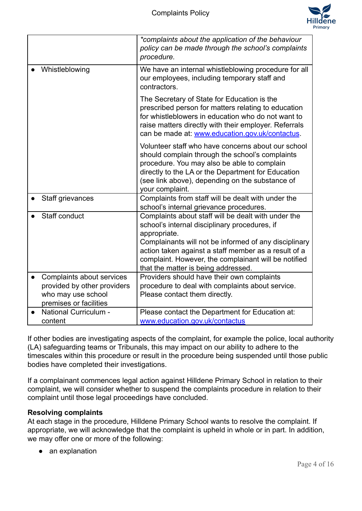

|           |                                                          | *complaints about the application of the behaviour<br>policy can be made through the school's complaints<br>procedure.                                                                                                                                                                                                               |
|-----------|----------------------------------------------------------|--------------------------------------------------------------------------------------------------------------------------------------------------------------------------------------------------------------------------------------------------------------------------------------------------------------------------------------|
|           | Whistleblowing                                           | We have an internal whistleblowing procedure for all<br>our employees, including temporary staff and<br>contractors.                                                                                                                                                                                                                 |
|           |                                                          | The Secretary of State for Education is the<br>prescribed person for matters relating to education<br>for whistleblowers in education who do not want to<br>raise matters directly with their employer. Referrals<br>can be made at: www.education.gov.uk/contactus.                                                                 |
|           |                                                          | Volunteer staff who have concerns about our school<br>should complain through the school's complaints<br>procedure. You may also be able to complain<br>directly to the LA or the Department for Education<br>(see link above), depending on the substance of<br>your complaint.                                                     |
|           | Staff grievances                                         | Complaints from staff will be dealt with under the<br>school's internal grievance procedures.                                                                                                                                                                                                                                        |
|           | Staff conduct                                            | Complaints about staff will be dealt with under the<br>school's internal disciplinary procedures, if<br>appropriate.<br>Complainants will not be informed of any disciplinary<br>action taken against a staff member as a result of a<br>complaint. However, the complainant will be notified<br>that the matter is being addressed. |
| $\bullet$ | Complaints about services<br>provided by other providers | Providers should have their own complaints<br>procedure to deal with complaints about service.                                                                                                                                                                                                                                       |
|           | who may use school<br>premises or facilities             | Please contact them directly.                                                                                                                                                                                                                                                                                                        |
|           | <b>National Curriculum -</b>                             | Please contact the Department for Education at:                                                                                                                                                                                                                                                                                      |
|           | content                                                  | www.education.gov.uk/contactus                                                                                                                                                                                                                                                                                                       |

If other bodies are investigating aspects of the complaint, for example the police, local authority (LA) safeguarding teams or Tribunals, this may impact on our ability to adhere to the timescales within this procedure or result in the procedure being suspended until those public bodies have completed their investigations.

If a complainant commences legal action against Hilldene Primary School in relation to their complaint, we will consider whether to suspend the complaints procedure in relation to their complaint until those legal proceedings have concluded.

#### **Resolving complaints**

At each stage in the procedure, Hilldene Primary School wants to resolve the complaint. If appropriate, we will acknowledge that the complaint is upheld in whole or in part. In addition, we may offer one or more of the following:

• an explanation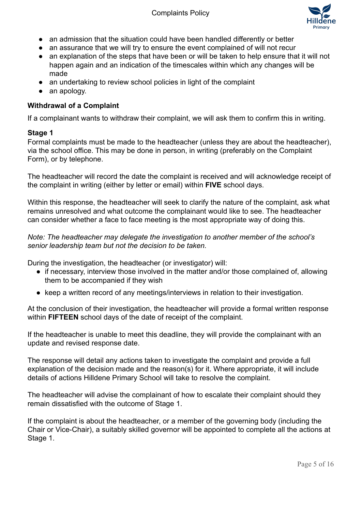

- an admission that the situation could have been handled differently or better
- an assurance that we will try to ensure the event complained of will not recur
- an explanation of the steps that have been or will be taken to help ensure that it will not happen again and an indication of the timescales within which any changes will be made
- an undertaking to review school policies in light of the complaint
- an apology.

## **Withdrawal of a Complaint**

If a complainant wants to withdraw their complaint, we will ask them to confirm this in writing.

#### **Stage 1**

Formal complaints must be made to the headteacher (unless they are about the headteacher), via the school office. This may be done in person, in writing (preferably on the Complaint Form), or by telephone.

The headteacher will record the date the complaint is received and will acknowledge receipt of the complaint in writing (either by letter or email) within **FIVE** school days.

Within this response, the headteacher will seek to clarify the nature of the complaint, ask what remains unresolved and what outcome the complainant would like to see. The headteacher can consider whether a face to face meeting is the most appropriate way of doing this.

*Note: The headteacher may delegate the investigation to another member of the school's senior leadership team but not the decision to be taken.*

During the investigation, the headteacher (or investigator) will:

- if necessary, interview those involved in the matter and/or those complained of, allowing them to be accompanied if they wish
- keep a written record of any meetings/interviews in relation to their investigation.

At the conclusion of their investigation, the headteacher will provide a formal written response within **FIFTEEN** school days of the date of receipt of the complaint.

If the headteacher is unable to meet this deadline, they will provide the complainant with an update and revised response date.

The response will detail any actions taken to investigate the complaint and provide a full explanation of the decision made and the reason(s) for it. Where appropriate, it will include details of actions Hilldene Primary School will take to resolve the complaint.

The headteacher will advise the complainant of how to escalate their complaint should they remain dissatisfied with the outcome of Stage 1.

If the complaint is about the headteacher, or a member of the governing body (including the Chair or Vice-Chair), a suitably skilled governor will be appointed to complete all the actions at Stage 1.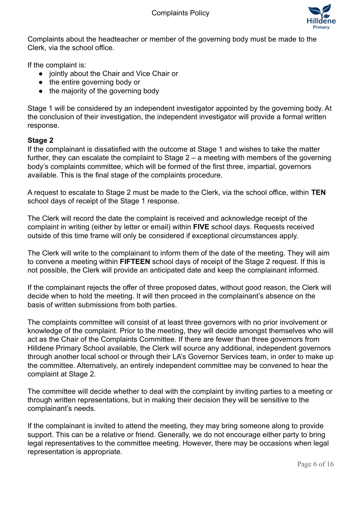

Complaints about the headteacher or member of the governing body must be made to the Clerk, via the school office.

If the complaint is:

- jointly about the Chair and Vice Chair or
- the entire governing body or
- the majority of the governing body

Stage 1 will be considered by an independent investigator appointed by the governing body. At the conclusion of their investigation, the independent investigator will provide a formal written response.

#### **Stage 2**

If the complainant is dissatisfied with the outcome at Stage 1 and wishes to take the matter further, they can escalate the complaint to Stage 2 – a meeting with members of the governing body's complaints committee, which will be formed of the first three, impartial, governors available. This is the final stage of the complaints procedure.

A request to escalate to Stage 2 must be made to the Clerk, via the school office, within **TEN** school days of receipt of the Stage 1 response.

The Clerk will record the date the complaint is received and acknowledge receipt of the complaint in writing (either by letter or email) within **FIVE** school days. Requests received outside of this time frame will only be considered if exceptional circumstances apply.

The Clerk will write to the complainant to inform them of the date of the meeting. They will aim to convene a meeting within **FIFTEEN** school days of receipt of the Stage 2 request. If this is not possible, the Clerk will provide an anticipated date and keep the complainant informed.

If the complainant rejects the offer of three proposed dates, without good reason, the Clerk will decide when to hold the meeting. It will then proceed in the complainant's absence on the basis of written submissions from both parties.

The complaints committee will consist of at least three governors with no prior involvement or knowledge of the complaint. Prior to the meeting, they will decide amongst themselves who will act as the Chair of the Complaints Committee. If there are fewer than three governors from Hilldene Primary School available, the Clerk will source any additional, independent governors through another local school or through their LA's Governor Services team, in order to make up the committee. Alternatively, an entirely independent committee may be convened to hear the complaint at Stage 2.

The committee will decide whether to deal with the complaint by inviting parties to a meeting or through written representations, but in making their decision they will be sensitive to the complainant's needs.

If the complainant is invited to attend the meeting, they may bring someone along to provide support. This can be a relative or friend. Generally, we do not encourage either party to bring legal representatives to the committee meeting. However, there may be occasions when legal representation is appropriate.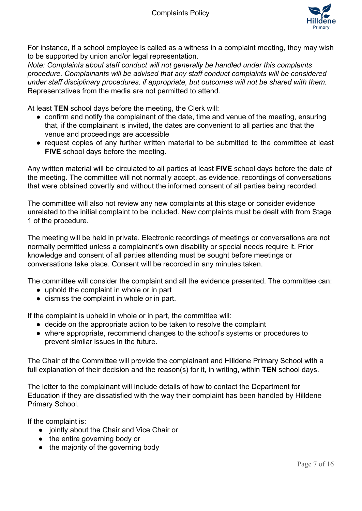

For instance, if a school employee is called as a witness in a complaint meeting, they may wish to be supported by union and/or legal representation.

*Note: Complaints about staff conduct will not generally be handled under this complaints procedure. Complainants will be advised that any staff conduct complaints will be considered under staff disciplinary procedures, if appropriate, but outcomes will not be shared with them.* Representatives from the media are not permitted to attend.

At least **TEN** school days before the meeting, the Clerk will:

- confirm and notify the complainant of the date, time and venue of the meeting, ensuring that, if the complainant is invited, the dates are convenient to all parties and that the venue and proceedings are accessible
- request copies of any further written material to be submitted to the committee at least **FIVE** school days before the meeting.

Any written material will be circulated to all parties at least **FIVE** school days before the date of the meeting. The committee will not normally accept, as evidence, recordings of conversations that were obtained covertly and without the informed consent of all parties being recorded.

The committee will also not review any new complaints at this stage or consider evidence unrelated to the initial complaint to be included. New complaints must be dealt with from Stage 1 of the procedure.

The meeting will be held in private. Electronic recordings of meetings or conversations are not normally permitted unless a complainant's own disability or special needs require it. Prior knowledge and consent of all parties attending must be sought before meetings or conversations take place. Consent will be recorded in any minutes taken.

The committee will consider the complaint and all the evidence presented. The committee can:

- uphold the complaint in whole or in part
- dismiss the complaint in whole or in part.

If the complaint is upheld in whole or in part, the committee will:

- decide on the appropriate action to be taken to resolve the complaint
- where appropriate, recommend changes to the school's systems or procedures to prevent similar issues in the future.

The Chair of the Committee will provide the complainant and Hilldene Primary School with a full explanation of their decision and the reason(s) for it, in writing, within **TEN** school days.

The letter to the complainant will include details of how to contact the Department for Education if they are dissatisfied with the way their complaint has been handled by Hilldene Primary School.

If the complaint is:

- jointly about the Chair and Vice Chair or
- the entire governing body or
- the majority of the governing body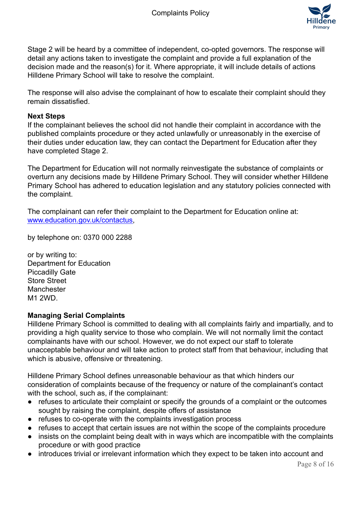

Stage 2 will be heard by a committee of independent, co-opted governors. The response will detail any actions taken to investigate the complaint and provide a full explanation of the decision made and the reason(s) for it. Where appropriate, it will include details of actions Hilldene Primary School will take to resolve the complaint.

The response will also advise the complainant of how to escalate their complaint should they remain dissatisfied.

#### **Next Steps**

If the complainant believes the school did not handle their complaint in accordance with the published complaints procedure or they acted unlawfully or unreasonably in the exercise of their duties under education law, they can contact the Department for Education after they have completed Stage 2.

The Department for Education will not normally reinvestigate the substance of complaints or overturn any decisions made by Hilldene Primary School. They will consider whether Hilldene Primary School has adhered to education legislation and any statutory policies connected with the complaint.

The complainant can refer their complaint to the Department for Education online at: [www.education.gov.uk/contactus,](http://www.education.gov.uk/contactus)

by telephone on: 0370 000 2288

or by writing to: Department for Education Piccadilly Gate Store Street **Manchester** M1 2WD.

#### **Managing Serial Complaints**

Hilldene Primary School is committed to dealing with all complaints fairly and impartially, and to providing a high quality service to those who complain. We will not normally limit the contact complainants have with our school. However, we do not expect our staff to tolerate unacceptable behaviour and will take action to protect staff from that behaviour, including that which is abusive, offensive or threatening.

Hilldene Primary School defines unreasonable behaviour as that which hinders our consideration of complaints because of the frequency or nature of the complainant's contact with the school, such as, if the complainant:

- refuses to articulate their complaint or specify the grounds of a complaint or the outcomes sought by raising the complaint, despite offers of assistance
- refuses to co-operate with the complaints investigation process
- refuses to accept that certain issues are not within the scope of the complaints procedure
- insists on the complaint being dealt with in ways which are incompatible with the complaints procedure or with good practice
- introduces trivial or irrelevant information which they expect to be taken into account and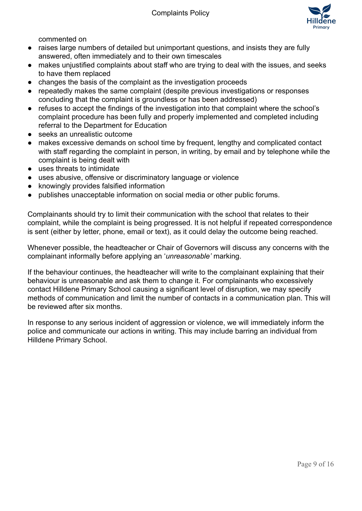

commented on

- raises large numbers of detailed but unimportant questions, and insists they are fully answered, often immediately and to their own timescales
- makes unjustified complaints about staff who are trying to deal with the issues, and seeks to have them replaced
- changes the basis of the complaint as the investigation proceeds
- repeatedly makes the same complaint (despite previous investigations or responses concluding that the complaint is groundless or has been addressed)
- refuses to accept the findings of the investigation into that complaint where the school's complaint procedure has been fully and properly implemented and completed including referral to the Department for Education
- seeks an unrealistic outcome
- makes excessive demands on school time by frequent, lengthy and complicated contact with staff regarding the complaint in person, in writing, by email and by telephone while the complaint is being dealt with
- uses threats to intimidate
- uses abusive, offensive or discriminatory language or violence
- knowingly provides falsified information
- publishes unacceptable information on social media or other public forums.

Complainants should try to limit their communication with the school that relates to their complaint, while the complaint is being progressed. It is not helpful if repeated correspondence is sent (either by letter, phone, email or text), as it could delay the outcome being reached.

Whenever possible, the headteacher or Chair of Governors will discuss any concerns with the complainant informally before applying an '*unreasonable'* marking.

If the behaviour continues, the headteacher will write to the complainant explaining that their behaviour is unreasonable and ask them to change it. For complainants who excessively contact Hilldene Primary School causing a significant level of disruption, we may specify methods of communication and limit the number of contacts in a communication plan. This will be reviewed after six months.

In response to any serious incident of aggression or violence, we will immediately inform the police and communicate our actions in writing. This may include barring an individual from Hilldene Primary School.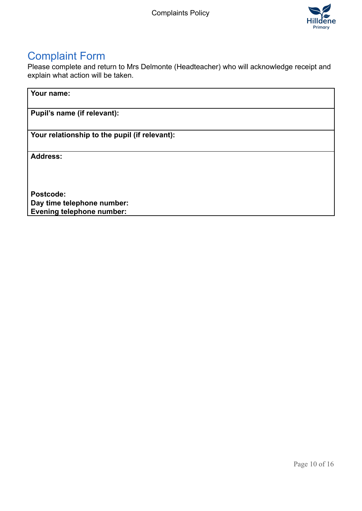

# Complaint Form

Please complete and return to Mrs Delmonte (Headteacher) who will acknowledge receipt and explain what action will be taken.

#### **Your name:**

**Pupil's name (if relevant):**

**Your relationship to the pupil (if relevant):**

**Address:**

**Postcode: Day time telephone number: Evening telephone number:**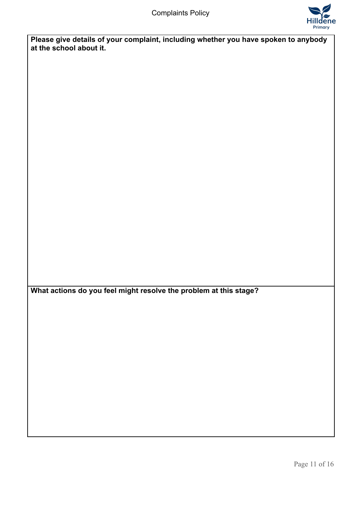

**Please give details of your complaint, including whether you have spoken to anybody at the school about it.**

**What actions do you feel might resolve the problem at this stage?**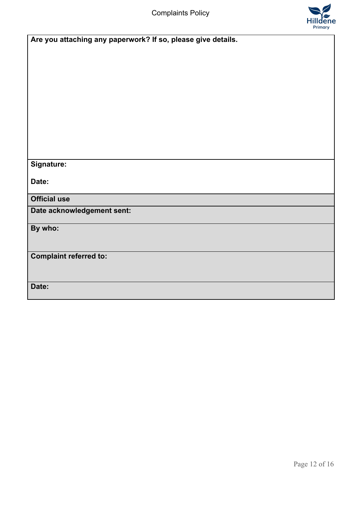Complaints Policy



| Are you attaching any paperwork? If so, please give details. |
|--------------------------------------------------------------|
|                                                              |
|                                                              |
|                                                              |
|                                                              |
|                                                              |
|                                                              |
|                                                              |
|                                                              |
|                                                              |
|                                                              |
|                                                              |
|                                                              |
| Signature:                                                   |
| Date:                                                        |
|                                                              |
| <b>Official use</b>                                          |
| Date acknowledgement sent:                                   |
|                                                              |
| By who:                                                      |
|                                                              |
|                                                              |
| <b>Complaint referred to:</b>                                |
|                                                              |
|                                                              |
| Date:                                                        |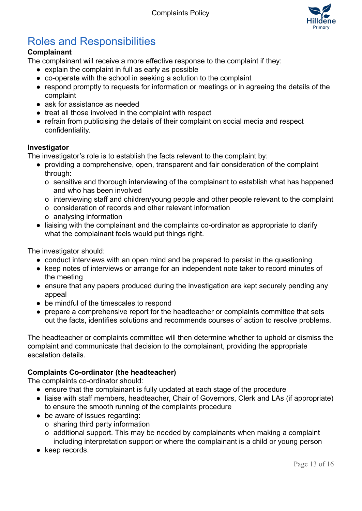

# Roles and Responsibilities

## **Complainant**

The complainant will receive a more effective response to the complaint if they:

- explain the complaint in full as early as possible
- co-operate with the school in seeking a solution to the complaint
- respond promptly to requests for information or meetings or in agreeing the details of the complaint
- ask for assistance as needed
- treat all those involved in the complaint with respect
- refrain from publicising the details of their complaint on social media and respect confidentiality.

#### **Investigator**

The investigator's role is to establish the facts relevant to the complaint by:

- providing a comprehensive, open, transparent and fair consideration of the complaint through:
	- o sensitive and thorough interviewing of the complainant to establish what has happened and who has been involved
	- o interviewing staff and children/young people and other people relevant to the complaint
	- o consideration of records and other relevant information
	- o analysing information
- liaising with the complainant and the complaints co-ordinator as appropriate to clarify what the complainant feels would put things right.

The investigator should:

- conduct interviews with an open mind and be prepared to persist in the questioning
- keep notes of interviews or arrange for an independent note taker to record minutes of the meeting
- ensure that any papers produced during the investigation are kept securely pending any appeal
- be mindful of the timescales to respond
- prepare a comprehensive report for the headteacher or complaints committee that sets out the facts, identifies solutions and recommends courses of action to resolve problems.

The headteacher or complaints committee will then determine whether to uphold or dismiss the complaint and communicate that decision to the complainant, providing the appropriate escalation details.

#### **Complaints Co-ordinator (the headteacher)**

The complaints co-ordinator should:

- ensure that the complainant is fully updated at each stage of the procedure
- liaise with staff members, headteacher, Chair of Governors, Clerk and LAs (if appropriate) to ensure the smooth running of the complaints procedure
- be aware of issues regarding:
	- o sharing third party information
	- o additional support. This may be needed by complainants when making a complaint including interpretation support or where the complainant is a child or young person
- keep records.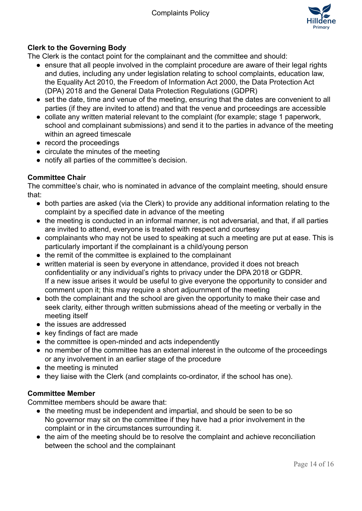

## **Clerk to the Governing Body**

The Clerk is the contact point for the complainant and the committee and should:

- ensure that all people involved in the complaint procedure are aware of their legal rights and duties, including any under legislation relating to school complaints, education law, the Equality Act 2010, the Freedom of Information Act 2000, the Data Protection Act (DPA) 2018 and the General Data Protection Regulations (GDPR)
- set the date, time and venue of the meeting, ensuring that the dates are convenient to all parties (if they are invited to attend) and that the venue and proceedings are accessible
- collate any written material relevant to the complaint (for example; stage 1 paperwork, school and complainant submissions) and send it to the parties in advance of the meeting within an agreed timescale
- record the proceedings
- circulate the minutes of the meeting
- notify all parties of the committee's decision.

#### **Committee Chair**

The committee's chair, who is nominated in advance of the complaint meeting, should ensure that:

- both parties are asked (via the Clerk) to provide any additional information relating to the complaint by a specified date in advance of the meeting
- the meeting is conducted in an informal manner, is not adversarial, and that, if all parties are invited to attend, everyone is treated with respect and courtesy
- complainants who may not be used to speaking at such a meeting are put at ease. This is particularly important if the complainant is a child/young person
- the remit of the committee is explained to the complainant
- written material is seen by everyone in attendance, provided it does not breach confidentiality or any individual's rights to privacy under the DPA 2018 or GDPR. If a new issue arises it would be useful to give everyone the opportunity to consider and comment upon it; this may require a short adjournment of the meeting
- both the complainant and the school are given the opportunity to make their case and seek clarity, either through written submissions ahead of the meeting or verbally in the meeting itself
- the issues are addressed
- key findings of fact are made
- the committee is open-minded and acts independently
- no member of the committee has an external interest in the outcome of the proceedings or any involvement in an earlier stage of the procedure
- the meeting is minuted
- they liaise with the Clerk (and complaints co-ordinator, if the school has one).

#### **Committee Member**

Committee members should be aware that:

- the meeting must be independent and impartial, and should be seen to be so No governor may sit on the committee if they have had a prior involvement in the complaint or in the circumstances surrounding it.
- the aim of the meeting should be to resolve the complaint and achieve reconciliation between the school and the complainant